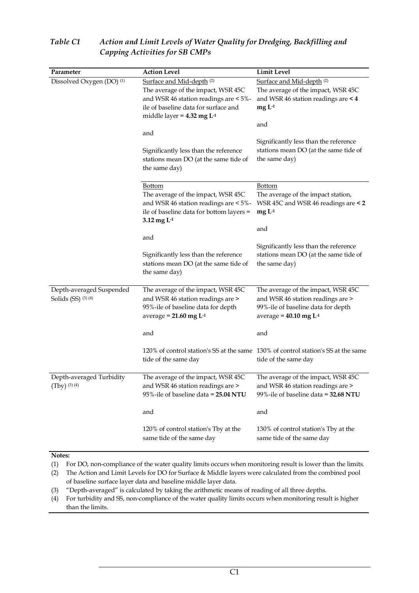| Parameter                                       | <b>Action Level</b>                                                                                                                                                                                     | Limit Level                                                                                                                                                                                                     |  |  |  |
|-------------------------------------------------|---------------------------------------------------------------------------------------------------------------------------------------------------------------------------------------------------------|-----------------------------------------------------------------------------------------------------------------------------------------------------------------------------------------------------------------|--|--|--|
| Dissolved Oxygen (DO) <sup>(1)</sup>            | Surface and Mid-depth <sup>(2)</sup><br>The average of the impact, WSR 45C<br>and WSR 46 station readings are < 5%-<br>ile of baseline data for surface and<br>middle layer = $4.32$ mg L <sup>-1</sup> | Surface and Mid-depth <sup>(2)</sup><br>The average of the impact, WSR 45C<br>and WSR 46 station readings are < 4<br>$mgL-1$<br>and                                                                             |  |  |  |
|                                                 | and<br>Significantly less than the reference<br>stations mean DO (at the same tide of<br>the same day)                                                                                                  | Significantly less than the reference<br>stations mean DO (at the same tide of<br>the same day)                                                                                                                 |  |  |  |
|                                                 | Bottom<br>The average of the impact, WSR 45C<br>and WSR 46 station readings are < 5%-<br>ile of baseline data for bottom layers =<br>$3.12$ mg $L-1$                                                    | <b>Bottom</b><br>The average of the impact station,<br>WSR 45C and WSR 46 readings are < 2<br>$mgL-1$<br>and<br>Significantly less than the reference<br>stations mean DO (at the same tide of<br>the same day) |  |  |  |
|                                                 | and<br>Significantly less than the reference<br>stations mean DO (at the same tide of<br>the same day)                                                                                                  |                                                                                                                                                                                                                 |  |  |  |
| Depth-averaged Suspended<br>Solids (SS) (3) (4) | The average of the impact, WSR 45C<br>and WSR 46 station readings are ><br>95%-ile of baseline data for depth<br>average = $21.60$ mg L <sup>-1</sup>                                                   | The average of the impact, WSR 45C<br>and WSR 46 station readings are ><br>99%-ile of baseline data for depth<br>average = $40.10$ mg L <sup>-1</sup>                                                           |  |  |  |
|                                                 | and                                                                                                                                                                                                     | and                                                                                                                                                                                                             |  |  |  |
|                                                 | tide of the same day                                                                                                                                                                                    | 120% of control station's SS at the same 130% of control station's SS at the same<br>tide of the same day                                                                                                       |  |  |  |
| Depth-averaged Turbidity<br>$(Tby)$ (3) (4)     | The average of the impact, WSR 45C<br>and WSR 46 station readings are ><br>95%-ile of baseline data = 25.04 NTU                                                                                         | The average of the impact, WSR 45C<br>and WSR 46 station readings are ><br>99%-ile of baseline data = 32.68 NTU                                                                                                 |  |  |  |
|                                                 | and                                                                                                                                                                                                     | and                                                                                                                                                                                                             |  |  |  |
|                                                 | 120% of control station's Tby at the<br>same tide of the same day                                                                                                                                       | 130% of control station's Tby at the<br>same tide of the same day                                                                                                                                               |  |  |  |
| Notes:                                          |                                                                                                                                                                                                         |                                                                                                                                                                                                                 |  |  |  |

## *Table C1 Action and Limit Levels of Water Quality for Dredging, Backfilling and Capping Activities for SB CMPs*

(1) For DO, non-compliance of the water quality limits occurs when monitoring result is lower than the limits.

(2) The Action and Limit Levels for DO for Surface & Middle layers were calculated from the combined pool of baseline surface layer data and baseline middle layer data.

(3) "Depth-averaged" is calculated by taking the arithmetic means of reading of all three depths.

(4) For turbidity and SS, non-compliance of the water quality limits occurs when monitoring result is higher than the limits.